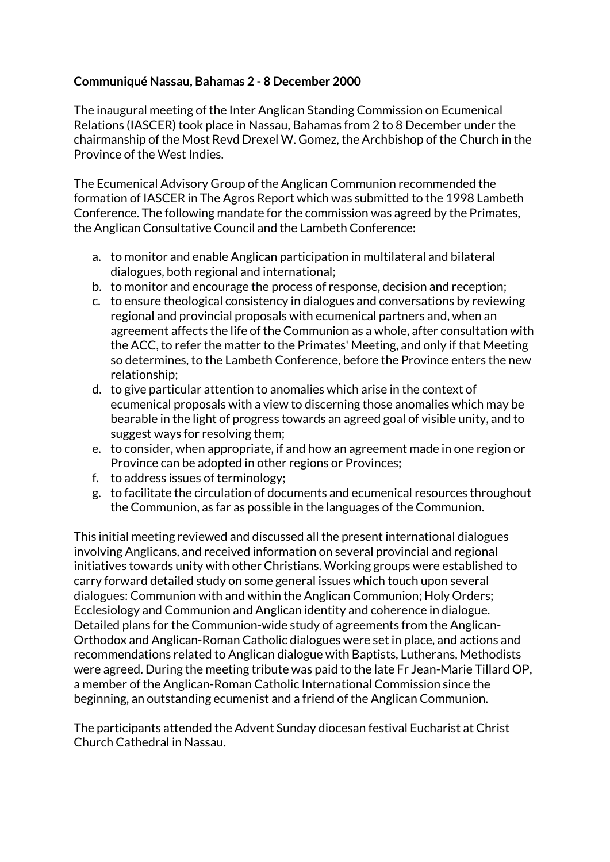## **Communiqué Nassau, Bahamas 2 - 8 December 2000**

The inaugural meeting of the Inter Anglican Standing Commission on Ecumenical Relations (IASCER) took place in Nassau, Bahamas from 2 to 8 December under the chairmanship of the Most Revd Drexel W. Gomez, the Archbishop of the Church in the Province of the West Indies.

The Ecumenical Advisory Group of the Anglican Communion recommended the formation of IASCER in The Agros Report which was submitted to the 1998 Lambeth Conference. The following mandate for the commission was agreed by the Primates, the Anglican Consultative Council and the Lambeth Conference:

- a. to monitor and enable Anglican participation in multilateral and bilateral dialogues, both regional and international;
- b. to monitor and encourage the process of response, decision and reception;
- c. to ensure theological consistency in dialogues and conversations by reviewing regional and provincial proposals with ecumenical partners and, when an agreement affects the life of the Communion as a whole, after consultation with the ACC, to refer the matter to the Primates' Meeting, and only if that Meeting so determines, to the Lambeth Conference, before the Province enters the new relationship;
- d. to give particular attention to anomalies which arise in the context of ecumenical proposals with a view to discerning those anomalies which may be bearable in the light of progress towards an agreed goal of visible unity, and to suggest ways for resolving them;
- e. to consider, when appropriate, if and how an agreement made in one region or Province can be adopted in other regions or Provinces;
- f. to address issues of terminology;
- g. to facilitate the circulation of documents and ecumenical resources throughout the Communion, as far as possible in the languages of the Communion.

This initial meeting reviewed and discussed all the present international dialogues involving Anglicans, and received information on several provincial and regional initiatives towards unity with other Christians. Working groups were established to carry forward detailed study on some general issues which touch upon several dialogues: Communion with and within the Anglican Communion; Holy Orders; Ecclesiology and Communion and Anglican identity and coherence in dialogue. Detailed plans for the Communion-wide study of agreements from the Anglican-Orthodox and Anglican-Roman Catholic dialogues were set in place, and actions and recommendations related to Anglican dialogue with Baptists, Lutherans, Methodists were agreed. During the meeting tribute was paid to the late Fr Jean-Marie Tillard OP, a member of the Anglican-Roman Catholic International Commission since the beginning, an outstanding ecumenist and a friend of the Anglican Communion.

The participants attended the Advent Sunday diocesan festival Eucharist at Christ Church Cathedral in Nassau.